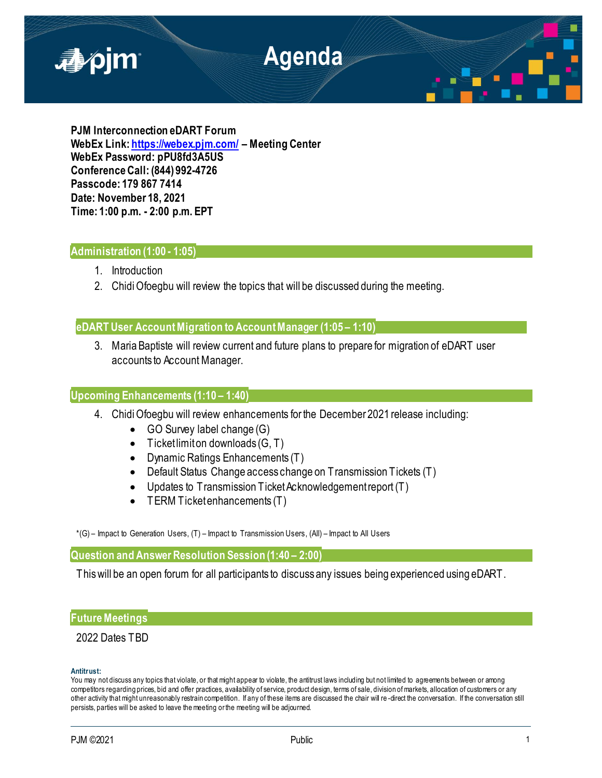

**PJM Interconnection eDART Forum WebEx Link[: https://webex.pjm.com/](https://webex.pjm.com/) – Meeting Center WebEx Password: pPU8fd3A5US Conference Call: (844) 992-4726 Passcode: 179 867 7414 Date: November 18, 2021 Time: 1:00 p.m. - 2:00 p.m. EPT**

## **Administration (1:00 - 1:05)**

- 1. Introduction
- 2. Chidi Ofoegbu will review the topics that will be discussed during the meeting.

# **eDART User Account Migration to Account Manager (1:05 – 1:10)**

3. Maria Baptiste will review current and future plans to prepare for migration of eDART user accounts to Account Manager.

### **Upcoming Enhancements (1:10 – 1:40)**

- 4. Chidi Ofoegbu will review enhancements for the December 2021 release including:
	- GO Survey label change (G)
	- $\bullet$  Ticket limit on downloads  $(G, T)$
	- Dynamic Ratings Enhancements (T)
	- Default Status Change access change on Transmission Tickets (T)
	- Updates to Transmission Ticket Acknowledgement report (T)
	- TERM Ticket enhancements (T)

\*(G) – Impact to Generation Users, (T) – Impact to Transmission Users, (All) – Impact to All Users

**Question and Answer Resolution Session (1:40 – 2:00)**

This will be an open forum for all participants to discuss any issues being experienced using eDART.

### **Future Meetings**

# 2022 Dates TBD

### **Antitrust:**

You may not discuss any topics that violate, or that might appear to violate, the antitrust laws including but not limited to agreements between or among competitors regarding prices, bid and offer practices, availability of service, product design, terms of sale, division of markets, allocation of customers or any other activity that might unreasonably restrain competition. If any of these items are discussed the chair will re -direct the conversation. If the conversation still persists, parties will be asked to leave the meeting or the meeting will be adjourned.